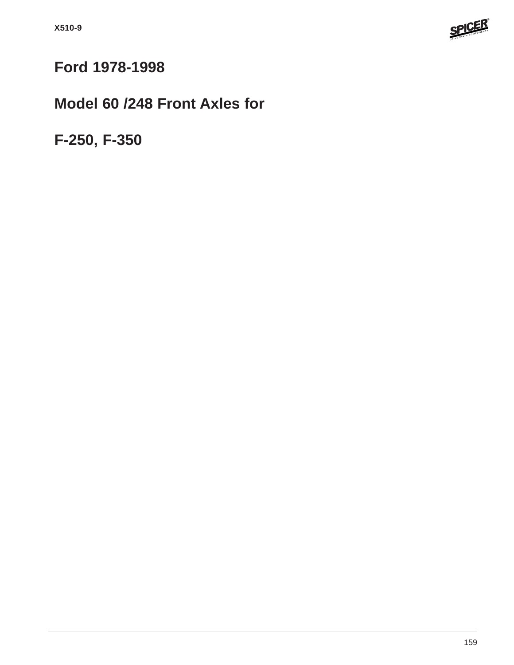

# **Ford 1978-1998**

## **Model 60 /248 Front Axles for**

**F-250, F-350**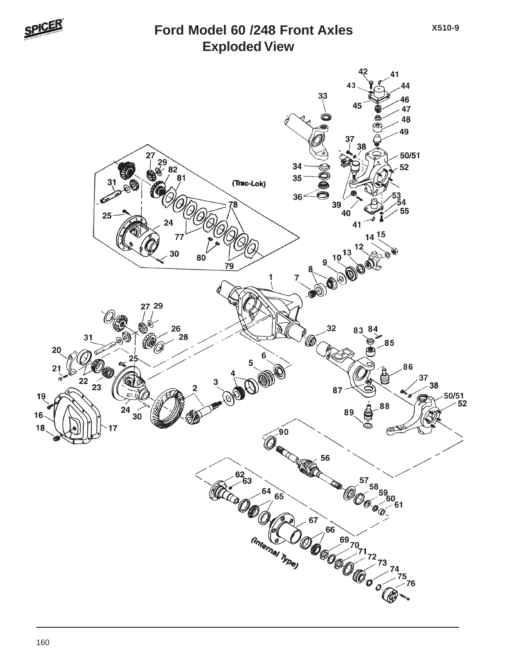

#### **Exploded View Ford Model 60 /248 Front Axles**

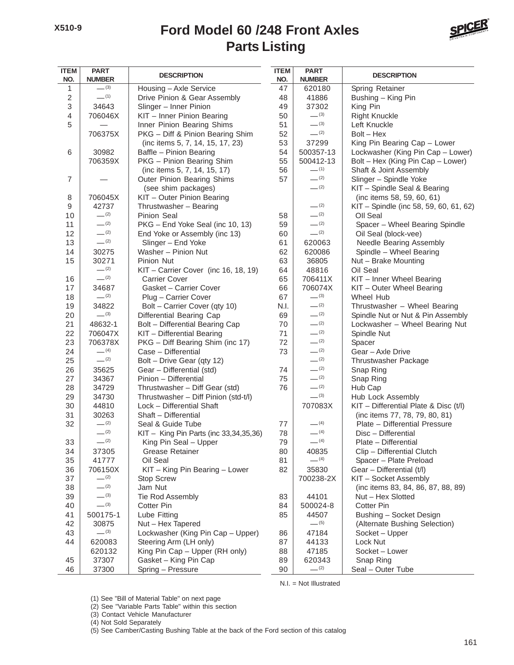#### **Parts Listing Ford Model 60 /248 Front Axles**



| <b>ITEM</b><br>NO. | <b>PART</b><br><b>NUMBER</b> | <b>DESCRIPTION</b>                                 | <b>ITEM</b><br>NO. | <b>PART</b><br><b>NUMBER</b> | <b>DESCRIPTION</b>                     |
|--------------------|------------------------------|----------------------------------------------------|--------------------|------------------------------|----------------------------------------|
| 1                  | $-^{(3)}$                    | Housing - Axle Service                             | 47                 | 620180                       | Spring Retainer                        |
| $\sqrt{2}$         | $-$ (1)                      | Drive Pinion & Gear Assembly                       | 48                 | 41886                        | Bushing - King Pin                     |
| 3                  | 34643                        | Slinger - Inner Pinion                             | 49                 | 37302                        | King Pin                               |
| 4                  | 706046X                      | KIT - Inner Pinion Bearing                         | 50                 | $-^{(3)}$                    | <b>Right Knuckle</b>                   |
| 5                  |                              | Inner Pinion Bearing Shims                         | 51                 | $- (3)$                      | Left Knuckle                           |
|                    | 706375X                      | PKG - Diff & Pinion Bearing Shim                   | 52                 | $- (2)$                      | $Bolt - Hex$                           |
|                    |                              | (inc items 5, 7, 14, 15, 17, 23)                   | 53                 | 37299                        | King Pin Bearing Cap - Lower           |
| 6                  | 30982                        | Baffle - Pinion Bearing                            | 54                 | 500357-13                    | Lockwasher (King Pin Cap - Lower)      |
|                    | 706359X                      | PKG - Pinion Bearing Shim                          | 55                 | 500412-13                    | Bolt - Hex (King Pin Cap - Lower)      |
|                    |                              | (inc items 5, 7, 14, 15, 17)                       | 56                 | $- (1)$                      | Shaft & Joint Assembly                 |
| $\overline{7}$     |                              | Outer Pinion Bearing Shims                         | 57                 | $- (2)$                      | Slinger - Spindle Yoke                 |
|                    |                              | (see shim packages)                                |                    | $- (2)$                      | KIT - Spindle Seal & Bearing           |
| 8                  | 706045X                      | KIT - Outer Pinion Bearing                         |                    |                              | (inc items 58, 59, 60, 61)             |
| 9                  | 42737                        | Thrustwasher - Bearing                             |                    | $- (2)$                      | KIT - Spindle (inc 58, 59, 60, 61, 62) |
| 10                 | $-^{(2)}$                    | Pinion Seal                                        | 58                 | $-^{(2)}$                    | Oll Seal                               |
| 11                 | $-^{(2)}$                    | PKG - End Yoke Seal (inc 10, 13)                   | 59                 | $- (2)$                      | Spacer - Wheel Bearing Spindle         |
| 12                 | $-^{(2)}$                    | End Yoke or Assembly (inc 13)                      | 60                 | $-^{(2)}$                    | Oil Seal (block-vee)                   |
| 13                 | $-^{(2)}$                    | Slinger - End Yoke                                 | 61                 | 620063                       | Needle Bearing Assembly                |
| 14                 | 30275                        | Washer - Pinion Nut                                | 62                 | 620086                       | Spindle - Wheel Bearing                |
| 15                 | 30271                        | Pinion Nut                                         | 63                 | 36805                        | Nut - Brake Mounting                   |
|                    | $-^{(2)}$                    | KIT - Carrier Cover (inc 16, 18, 19)               | 64                 | 48816                        | Oil Seal                               |
| 16                 | $-^{(2)}$                    | <b>Carrier Cover</b>                               | 65                 | 706411X                      | KIT - Inner Wheel Bearing              |
| 17                 | 34687                        | Gasket - Carrier Cover                             | 66                 | 706074X                      | KIT - Outer Wheel Bearing              |
| 18                 | $-^{(2)}$                    | Plug - Carrier Cover                               | 67                 | $-^{(3)}$                    | Wheel Hub                              |
| 19                 | 34822                        | Bolt - Carrier Cover (qty 10)                      | N.I.               | $-^{(2)}$                    | Thrustwasher - Wheel Bearing           |
| 20                 | $-^{(3)}$                    | Differential Bearing Cap                           | 69                 | $- (2)$                      | Spindle Nut or Nut & Pin Assembly      |
| 21                 | 48632-1                      | Bolt - Differential Bearing Cap                    | 70                 | $-^{(2)}$                    | Lockwasher - Wheel Bearing Nut         |
| 22                 | 706047X                      | KIT - Differential Bearing                         | 71                 | $-^{(2)}$                    | Spindle Nut                            |
| 23                 | 706378X                      | PKG - Diff Bearing Shim (inc 17)                   | 72                 | $- (2)$                      |                                        |
| 24                 | $- (4)$                      | Case - Differential                                | 73                 | $- (2)$                      | Spacer<br>Gear - Axle Drive            |
| 25                 | $-^{(2)}$                    | Bolt - Drive Gear (qty 12)                         |                    | $- (2)$                      |                                        |
|                    |                              |                                                    | 74                 | $-^{(2)}$                    | Thrustwasher Package                   |
| 26                 | 35625                        | Gear - Differential (std)<br>Pinion - Differential | 75                 | $-^{(2)}$                    | Snap Ring                              |
| 27                 | 34367                        |                                                    |                    | $-^{(2)}$                    | Snap Ring                              |
| 28                 | 34729                        | Thrustwasher - Diff Gear (std)                     | 76                 | $-^{(3)}$                    | Hub Cap                                |
| 29                 | 34730                        | Thrustwasher - Diff Pinion (std-t/l)               |                    |                              | Hub Lock Assembly                      |
| 30                 | 44810                        | Lock - Differential Shaft                          |                    | 707083X                      | KIT - Differential Plate & Disc (t/l)  |
| 31                 | 30263<br>$-^{(2)}$           | Shaft - Differential                               |                    | $- (4)$                      | (inc items 77, 78, 79, 80, 81)         |
| 32                 | $-^{(2)}$                    | Seal & Guide Tube                                  | 77                 | $-$ (4)                      | Plate - Differential Pressure          |
|                    | $-^{(2)}$                    | KIT - King Pin Parts (inc 33,34,35,36)             | 78                 | $- (4)$                      | Disc - Differential                    |
| 33                 |                              | King Pin Seal - Upper                              | 79                 |                              | Plate - Differential                   |
| 34                 | 37305                        | <b>Grease Retainer</b>                             | 80                 | 40835                        | Clip - Differential Clutch             |
| 35                 | 41777                        | Oil Seal                                           | 81                 | $-$ (4)                      | Spacer - Plate Preload                 |
| 36                 | 706150X                      | $KIT - King Pin Bearing - Lower$                   | 82                 | 35830                        | Gear - Differential (t/l)              |
| 37                 | $-^{(2)}$                    | <b>Stop Screw</b>                                  |                    | 700238-2X                    | KIT - Socket Assembly                  |
| 38                 | $-^{(2)}$                    | Jam Nut                                            |                    |                              | (inc items 83, 84, 86, 87, 88, 89)     |
| 39                 | $-^{(3)}$                    | Tie Rod Assembly                                   | 83                 | 44101                        | Nut - Hex Slotted                      |
| 40                 | $-^{(3)}$                    | Cotter Pin                                         | 84                 | 500024-8                     | Cotter Pin                             |
| 41                 | 500175-1                     | Lube Fitting                                       | 85                 | 44507                        | Bushing - Socket Design                |
| 42                 | 30875                        | Nut - Hex Tapered                                  |                    | $- (5)$                      | (Alternate Bushing Selection)          |
| 43                 | $-^{(3)}$                    | Lockwasher (King Pin Cap - Upper)                  | 86                 | 47184                        | Socket - Upper                         |
| 44                 | 620083                       | Steering Arm (LH only)                             | 87                 | 44133                        | Lock Nut                               |
|                    | 620132                       | King Pin Cap - Upper (RH only)                     | 88                 | 47185                        | Socket - Lower                         |
| 45                 | 37307                        | Gasket - King Pin Cap                              | 89                 | 620343                       | Snap Ring                              |
| 46                 | 37300                        | Spring - Pressure                                  | 90                 | $-^{(2)}$                    | Seal - Outer Tube                      |

N.I. = Not Illustrated

(1) See "Bill of Material Table" on next page

(2) See "Variable Parts Table" within this section

(3) Contact Vehicle Manufacturer

(4) Not Sold Separately

(5) See Camber/Casting Bushing Table at the back of the Ford section of this catalog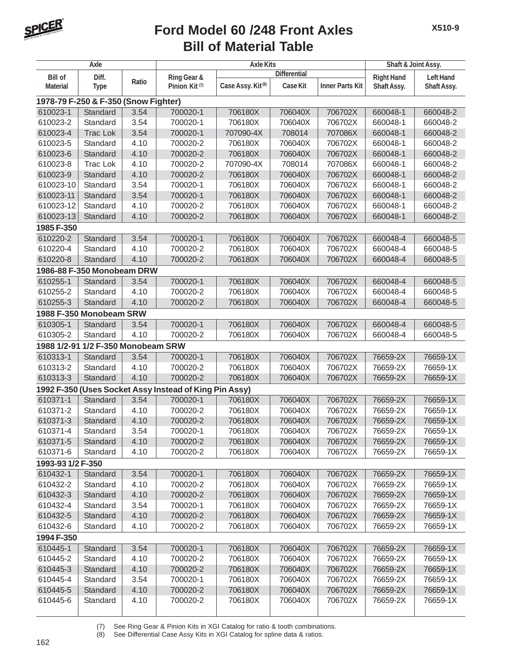

### **Bill of Material Table Ford Model 60 /248 Front Axles**

| Axle              |                                      |       | <b>Axle Kits</b>                                       |                               |                     |                        | Shaft & Joint Assy. |                  |
|-------------------|--------------------------------------|-------|--------------------------------------------------------|-------------------------------|---------------------|------------------------|---------------------|------------------|
| <b>Bill of</b>    | Diff.                                |       | Ring Gear &                                            |                               | <b>Differential</b> |                        | <b>Right Hand</b>   | <b>Left Hand</b> |
| <b>Material</b>   | <b>Type</b>                          | Ratio | Pinion Kit <sup>(7)</sup>                              | Case Assy. Kit <sup>(8)</sup> | Case Kit            | <b>Inner Parts Kit</b> | Shaft Assy.         | Shaft Assy.      |
|                   | 1978-79 F-250 & F-350 (Snow Fighter) |       |                                                        |                               |                     |                        |                     |                  |
| 610023-1          | Standard                             | 3.54  | 700020-1                                               | 706180X                       | 706040X             | 706702X                | 660048-1            | 660048-2         |
| 610023-2          | Standard                             | 3.54  | 700020-1                                               | 706180X                       | 706040X             | 706702X                | 660048-1            | 660048-2         |
| 610023-4          | <b>Trac Lok</b>                      | 3.54  | 700020-1                                               | 707090-4X                     | 708014              | 707086X                | 660048-1            | 660048-2         |
| 610023-5          | Standard                             | 4.10  | 700020-2                                               | 706180X                       | 706040X             | 706702X                | 660048-1            | 660048-2         |
| 610023-6          | Standard                             | 4.10  | 700020-2                                               | 706180X                       | 706040X             | 706702X                | 660048-1            | 660048-2         |
| 610023-8          | Trac Lok                             | 4.10  | 700020-2                                               | 707090-4X                     | 708014              | 707086X                | 660048-1            | 660048-2         |
| 610023-9          | Standard                             | 4.10  | 700020-2                                               | 706180X                       | 706040X             | 706702X                | 660048-1            | 660048-2         |
| 610023-10         | Standard                             | 3.54  | 700020-1                                               | 706180X                       | 706040X             | 706702X                | 660048-1            | 660048-2         |
| 610023-11         | Standard                             | 3.54  | 700020-1                                               | 706180X                       | 706040X             | 706702X                | 660048-1            | 660048-2         |
| 610023-12         | Standard                             | 4.10  | 700020-2                                               | 706180X                       | 706040X             | 706702X                | 660048-1            | 660048-2         |
| 610023-13         | Standard                             | 4.10  | 700020-2                                               | 706180X                       | 706040X             | 706702X                | 660048-1            | 660048-2         |
| 1985 F-350        |                                      |       |                                                        |                               |                     |                        |                     |                  |
| 610220-2          | Standard                             | 3.54  | 700020-1                                               | 706180X                       | 706040X             | 706702X                | 660048-4            | 660048-5         |
| 610220-4          | Standard                             | 4.10  | 700020-2                                               | 706180X                       | 706040X             | 706702X                | 660048-4            | 660048-5         |
| 610220-8          | Standard                             | 4.10  | 700020-2                                               | 706180X                       | 706040X             | 706702X                | 660048-4            | 660048-5         |
|                   | 1986-88 F-350 Monobeam DRW           |       |                                                        |                               |                     |                        |                     |                  |
| 610255-1          | Standard                             | 3.54  | 700020-1                                               | 706180X                       | 706040X             | 706702X                | 660048-4            | 660048-5         |
| 610255-2          | Standard                             | 4.10  | 700020-2                                               | 706180X                       | 706040X             | 706702X                | 660048-4            | 660048-5         |
| 610255-3          | Standard                             | 4.10  | 700020-2                                               | 706180X                       | 706040X             | 706702X                | 660048-4            | 660048-5         |
|                   | 1988 F-350 Monobeam SRW              |       |                                                        |                               |                     |                        |                     |                  |
| 610305-1          | Standard                             | 3.54  | 700020-1                                               | 706180X                       | 706040X             | 706702X                | 660048-4            | 660048-5         |
| 610305-2          | Standard                             | 4.10  | 700020-2                                               | 706180X                       | 706040X             | 706702X                | 660048-4            | 660048-5         |
|                   | 1988 1/2-91 1/2 F-350 Monobeam SRW   |       |                                                        |                               |                     |                        |                     |                  |
| 610313-1          | Standard                             | 3.54  | 700020-1                                               | 706180X                       | 706040X             | 706702X                | 76659-2X            | 76659-1X         |
| 610313-2          | Standard                             | 4.10  | 700020-2                                               | 706180X                       | 706040X             | 706702X                | 76659-2X            | 76659-1X         |
| 610313-3          | Standard                             | 4.10  | 700020-2                                               | 706180X                       | 706040X             | 706702X                | 76659-2X            | 76659-1X         |
|                   |                                      |       | 1992 F-350 (Uses Socket Assy Instead of King Pin Assy) |                               |                     |                        |                     |                  |
| 610371-1          | Standard                             | 3.54  | 700020-1                                               | 706180X                       | 706040X             | 706702X                | 76659-2X            | 76659-1X         |
| 610371-2          | Standard                             | 4.10  | 700020-2                                               | 706180X                       | 706040X             | 706702X                | 76659-2X            | 76659-1X         |
| 610371-3          | Standard                             | 4.10  | 700020-2                                               | 706180X                       | 706040X             | 706702X                | 76659-2X            | 76659-1X         |
| 610371-4          | Standard                             | 3.54  | 700020-1                                               | 706180X                       | 706040X             | 706702X                | 76659-2X            | 76659-1X         |
| 610371-5          | Standard                             | 4.10  | 700020-2                                               | 706180X                       | 706040X             | 706702X                | 76659-2X            | 76659-1X         |
| 610371-6          | Standard                             | 4.10  | 700020-2                                               | 706180X                       | 706040X             | 706702X                | 76659-2X            | 76659-1X         |
| 1993-93 1/2 F-350 |                                      |       |                                                        |                               |                     |                        |                     |                  |
| 610432-1          | Standard                             | 3.54  | 700020-1                                               | 706180X                       | 706040X             | 706702X                | 76659-2X            | 76659-1X         |
| 610432-2          | Standard                             | 4.10  | 700020-2                                               | 706180X                       | 706040X             | 706702X                | 76659-2X            | 76659-1X         |
| 610432-3          | Standard                             | 4.10  | 700020-2                                               | 706180X                       | 706040X             | 706702X                | 76659-2X            | 76659-1X         |
| 610432-4          | Standard                             | 3.54  | 700020-1                                               | 706180X                       | 706040X             | 706702X                | 76659-2X            | 76659-1X         |
| 610432-5          | Standard                             | 4.10  | 700020-2                                               | 706180X                       | 706040X             | 706702X                | 76659-2X            | 76659-1X         |
| 610432-6          | Standard                             | 4.10  | 700020-2                                               | 706180X                       | 706040X             | 706702X                | 76659-2X            | 76659-1X         |
| 1994 F-350        |                                      |       |                                                        |                               |                     |                        |                     |                  |
| 610445-1          | Standard                             | 3.54  | 700020-1                                               | 706180X                       | 706040X             | 706702X                | 76659-2X            | 76659-1X         |
| 610445-2          | Standard                             | 4.10  | 700020-2                                               | 706180X                       | 706040X             | 706702X                | 76659-2X            | 76659-1X         |
| 610445-3          | Standard                             | 4.10  | 700020-2                                               | 706180X                       | 706040X             | 706702X                | 76659-2X            | 76659-1X         |
| 610445-4          | Standard                             | 3.54  | 700020-1                                               | 706180X                       | 706040X             | 706702X                | 76659-2X            | 76659-1X         |
| 610445-5          | Standard                             | 4.10  | 700020-2                                               | 706180X                       | 706040X             | 706702X                | 76659-2X            | 76659-1X         |
| 610445-6          | Standard                             | 4.10  | 700020-2                                               | 706180X                       | 706040X             | 706702X                | 76659-2X            | 76659-1X         |
|                   |                                      |       |                                                        |                               |                     |                        |                     |                  |

(7) See Ring Gear & Pinion Kits in XGI Catalog for ratio & tooth combinations.<br>(8) See Differential Case Assy Kits in XGI Catalog for spline data & ratios.

See Differential Case Assy Kits in XGI Catalog for spline data & ratios.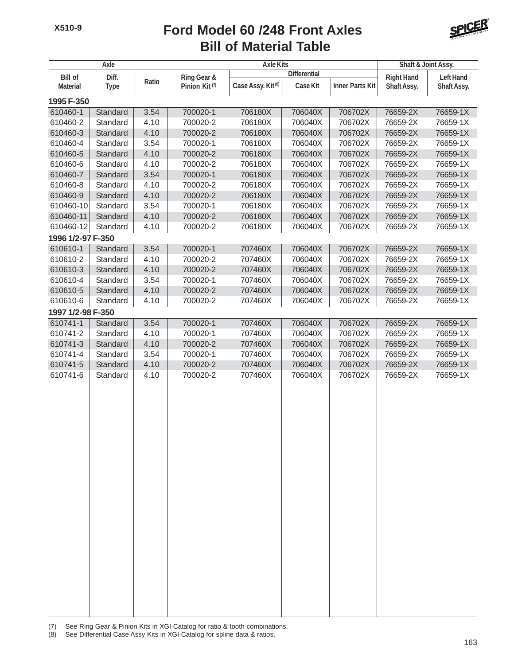#### **Bill of Material Table Ford Model 60 /248 Front Axles**



| Axle                    |             |             |                           | <b>Axle Kits</b>              |          |                        |                                       | Shaft & Joint Assy. |  |
|-------------------------|-------------|-------------|---------------------------|-------------------------------|----------|------------------------|---------------------------------------|---------------------|--|
| <b>Bill of</b><br>Diff. |             | Ring Gear & |                           | <b>Differential</b>           |          |                        | <b>Right Hand</b><br><b>Left Hand</b> |                     |  |
| <b>Material</b>         | <b>Type</b> | Ratio       | Pinion Kit <sup>(7)</sup> | Case Assy. Kit <sup>(8)</sup> | Case Kit | <b>Inner Parts Kit</b> | Shaft Assy.                           | Shaft Assy.         |  |
| 1995 F-350              |             |             |                           |                               |          |                        |                                       |                     |  |
| 610460-1                | Standard    | 3.54        | 700020-1                  | 706180X                       | 706040X  | 706702X                | 76659-2X                              | 76659-1X            |  |
| 610460-2                | Standard    | 4.10        | 700020-2                  | 706180X                       | 706040X  | 706702X                | 76659-2X                              | 76659-1X            |  |
| 610460-3                | Standard    | 4.10        | 700020-2                  | 706180X                       | 706040X  | 706702X                | 76659-2X                              | 76659-1X            |  |
| 610460-4                | Standard    | 3.54        | 700020-1                  | 706180X                       | 706040X  | 706702X                | 76659-2X                              | 76659-1X            |  |
| 610460-5                | Standard    | 4.10        | 700020-2                  | 706180X                       | 706040X  | 706702X                | 76659-2X                              | 76659-1X            |  |
| 610460-6                | Standard    | 4.10        | 700020-2                  | 706180X                       | 706040X  | 706702X                | 76659-2X                              | 76659-1X            |  |
| 610460-7                | Standard    | 3.54        | 700020-1                  | 706180X                       | 706040X  | 706702X                | 76659-2X                              | 76659-1X            |  |
| 610460-8                | Standard    | 4.10        | 700020-2                  | 706180X                       | 706040X  | 706702X                | 76659-2X                              | 76659-1X            |  |
| 610460-9                | Standard    | 4.10        | 700020-2                  | 706180X                       | 706040X  | 706702X                | 76659-2X                              | 76659-1X            |  |
| 610460-10               | Standard    | 3.54        | 700020-1                  | 706180X                       | 706040X  | 706702X                | 76659-2X                              | 76659-1X            |  |
| 610460-11               | Standard    | 4.10        | 700020-2                  | 706180X                       | 706040X  | 706702X                | 76659-2X                              | 76659-1X            |  |
| 610460-12               | Standard    | 4.10        | 700020-2                  | 706180X                       | 706040X  | 706702X                | 76659-2X                              | 76659-1X            |  |
| 1996 1/2-97 F-350       |             |             |                           |                               |          |                        |                                       |                     |  |
| 610610-1                | Standard    | 3.54        | 700020-1                  | 707460X                       | 706040X  | 706702X                | 76659-2X                              | 76659-1X            |  |
| 610610-2                | Standard    | 4.10        | 700020-2                  | 707460X                       | 706040X  | 706702X                | 76659-2X                              | 76659-1X            |  |
| 610610-3                | Standard    | 4.10        | 700020-2                  | 707460X                       | 706040X  | 706702X                | 76659-2X                              | 76659-1X            |  |
| 610610-4                | Standard    | 3.54        | 700020-1                  | 707460X                       | 706040X  | 706702X                | 76659-2X                              | 76659-1X            |  |
| 610610-5                | Standard    | 4.10        | 700020-2                  | 707460X                       | 706040X  | 706702X                | 76659-2X                              | 76659-1X            |  |
| 610610-6                | Standard    | 4.10        | 700020-2                  | 707460X                       | 706040X  | 706702X                | 76659-2X                              | 76659-1X            |  |
| 1997 1/2-98 F-350       |             |             |                           |                               |          |                        |                                       |                     |  |
| 610741-1                | Standard    | 3.54        | 700020-1                  | 707460X                       | 706040X  | 706702X                | 76659-2X                              | 76659-1X            |  |
| 610741-2                | Standard    | 4.10        | 700020-1                  | 707460X                       | 706040X  | 706702X                | 76659-2X                              | 76659-1X            |  |
| 610741-3                | Standard    | 4.10        | 700020-2                  | 707460X                       | 706040X  | 706702X                | 76659-2X                              | 76659-1X            |  |
| 610741-4                | Standard    | 3.54        | 700020-1                  | 707460X                       | 706040X  | 706702X                | 76659-2X                              | 76659-1X            |  |
| 610741-5                | Standard    | 4.10        | 700020-2                  | 707460X                       | 706040X  | 706702X                | 76659-2X                              | 76659-1X            |  |
| 610741-6                | Standard    | 4.10        | 700020-2                  | 707460X                       | 706040X  | 706702X                | 76659-2X                              | 76659-1X            |  |
|                         |             |             |                           |                               |          |                        |                                       |                     |  |
|                         |             |             |                           |                               |          |                        |                                       |                     |  |
|                         |             |             |                           |                               |          |                        |                                       |                     |  |
|                         |             |             |                           |                               |          |                        |                                       |                     |  |
|                         |             |             |                           |                               |          |                        |                                       |                     |  |
|                         |             |             |                           |                               |          |                        |                                       |                     |  |
|                         |             |             |                           |                               |          |                        |                                       |                     |  |
|                         |             |             |                           |                               |          |                        |                                       |                     |  |
|                         |             |             |                           |                               |          |                        |                                       |                     |  |
|                         |             |             |                           |                               |          |                        |                                       |                     |  |
|                         |             |             |                           |                               |          |                        |                                       |                     |  |
|                         |             |             |                           |                               |          |                        |                                       |                     |  |
|                         |             |             |                           |                               |          |                        |                                       |                     |  |
|                         |             |             |                           |                               |          |                        |                                       |                     |  |
|                         |             |             |                           |                               |          |                        |                                       |                     |  |
|                         |             |             |                           |                               |          |                        |                                       |                     |  |
|                         |             |             |                           |                               |          |                        |                                       |                     |  |
|                         |             |             |                           |                               |          |                        |                                       |                     |  |
|                         |             |             |                           |                               |          |                        |                                       |                     |  |
|                         |             |             |                           |                               |          |                        |                                       |                     |  |
|                         |             |             |                           |                               |          |                        |                                       |                     |  |
|                         |             |             |                           |                               |          |                        |                                       |                     |  |
|                         |             |             |                           |                               |          |                        |                                       |                     |  |

(7) See Ring Gear & Pinion Kits in XGI Catalog for ratio & tooth combinations.

(8) See Differential Case Assy Kits in XGI Catalog for spline data & ratios.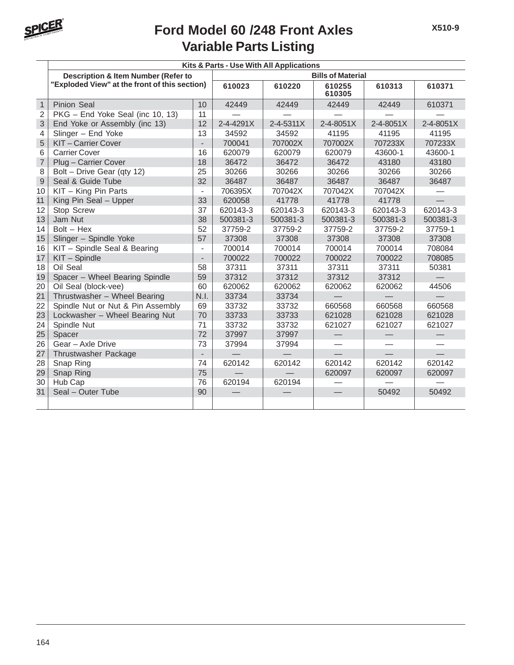

### **Variable Parts Listing Ford Model 60 /248 Front Axles**

|                | Kits & Parts - Use With All Applications       |                          |           |           |                  |           |           |  |  |
|----------------|------------------------------------------------|--------------------------|-----------|-----------|------------------|-----------|-----------|--|--|
|                | <b>Description &amp; Item Number (Refer to</b> | <b>Bills of Material</b> |           |           |                  |           |           |  |  |
|                | "Exploded View" at the front of this section)  |                          | 610023    | 610220    | 610255<br>610305 | 610313    | 610371    |  |  |
| $\mathbf{1}$   | <b>Pinion Seal</b>                             | 10                       | 42449     | 42449     | 42449            | 42449     | 610371    |  |  |
| $\overline{2}$ | PKG - End Yoke Seal (inc 10, 13)               | 11                       |           |           |                  |           |           |  |  |
| 3              | End Yoke or Assembly (inc 13)                  | 12                       | 2-4-4291X | 2-4-5311X | 2-4-8051X        | 2-4-8051X | 2-4-8051X |  |  |
| 4              | Slinger - End Yoke                             | 13                       | 34592     | 34592     | 41195            | 41195     | 41195     |  |  |
| 5              | KIT-Carrier Cover                              | $\overline{\phantom{a}}$ | 700041    | 707002X   | 707002X          | 707233X   | 707233X   |  |  |
| 6              | <b>Carrier Cover</b>                           | 16                       | 620079    | 620079    | 620079           | 43600-1   | 43600-1   |  |  |
| $\overline{7}$ | Plug - Carrier Cover                           | 18                       | 36472     | 36472     | 36472            | 43180     | 43180     |  |  |
| 8              | Bolt - Drive Gear (qty 12)                     | 25                       | 30266     | 30266     | 30266            | 30266     | 30266     |  |  |
| $\overline{9}$ | Seal & Guide Tube                              | 32                       | 36487     | 36487     | 36487            | 36487     | 36487     |  |  |
| 10             | KIT - King Pin Parts                           | $\overline{\phantom{a}}$ | 706395X   | 707042X   | 707042X          | 707042X   |           |  |  |
| 11             | King Pin Seal - Upper                          | 33                       | 620058    | 41778     | 41778            | 41778     |           |  |  |
| 12             | Stop Screw                                     | 37                       | 620143-3  | 620143-3  | 620143-3         | 620143-3  | 620143-3  |  |  |
| 13             | Jam Nut                                        | 38                       | 500381-3  | 500381-3  | 500381-3         | 500381-3  | 500381-3  |  |  |
| 14             | $Bolt - Hex$                                   | 52                       | 37759-2   | 37759-2   | 37759-2          | 37759-2   | 37759-1   |  |  |
| 15             | Slinger - Spindle Yoke                         | 57                       | 37308     | 37308     | 37308            | 37308     | 37308     |  |  |
| 16             | KIT - Spindle Seal & Bearing                   | $\overline{\phantom{a}}$ | 700014    | 700014    | 700014           | 700014    | 708084    |  |  |
| 17             | KIT - Spindle                                  | $\overline{a}$           | 700022    | 700022    | 700022           | 700022    | 708085    |  |  |
| 18             | Oil Seal                                       | 58                       | 37311     | 37311     | 37311            | 37311     | 50381     |  |  |
| 19             | Spacer - Wheel Bearing Spindle                 | 59                       | 37312     | 37312     | 37312            | 37312     |           |  |  |
| 20             | Oil Seal (block-vee)                           | 60                       | 620062    | 620062    | 620062           | 620062    | 44506     |  |  |
| 21             | Thrustwasher - Wheel Bearing                   | N.I.                     | 33734     | 33734     |                  |           |           |  |  |
| 22             | Spindle Nut or Nut & Pin Assembly              | 69                       | 33732     | 33732     | 660568           | 660568    | 660568    |  |  |
| 23             | Lockwasher - Wheel Bearing Nut                 | 70                       | 33733     | 33733     | 621028           | 621028    | 621028    |  |  |
| 24             | Spindle Nut                                    | 71                       | 33732     | 33732     | 621027           | 621027    | 621027    |  |  |
| 25             | Spacer                                         | 72                       | 37997     | 37997     |                  |           |           |  |  |
| 26             | Gear - Axle Drive                              | 73                       | 37994     | 37994     |                  |           |           |  |  |
| 27             | Thrustwasher Package                           | $\overline{a}$           |           |           |                  |           |           |  |  |
| 28             | Snap Ring                                      | 74                       | 620142    | 620142    | 620142           | 620142    | 620142    |  |  |
| 29             | Snap Ring                                      | 75                       |           |           | 620097           | 620097    | 620097    |  |  |
| 30             | Hub Cap                                        | 76                       | 620194    | 620194    |                  |           |           |  |  |
| 31             | Seal - Outer Tube                              | 90                       |           |           |                  | 50492     | 50492     |  |  |
|                |                                                |                          |           |           |                  |           |           |  |  |